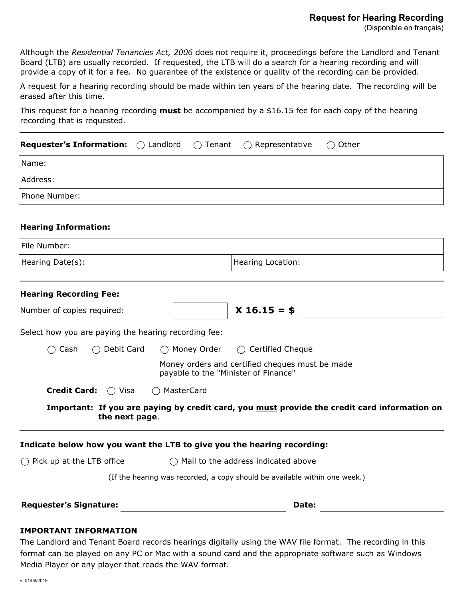## **Request for Hearing Recording**

Although the *Residential Tenancies Act, 2006* does not require it, proceedings before the Landlord and Tenant Board (LTB) are usually recorded. If requested, the LTB will do a search for a hearing recording and will provide a copy of it for a fee. No guarantee of the existence or quality of the recording can be provided.

A request for a hearing recording should be made within ten years of the hearing date. The recording will be erased after this time.

This request for a hearing recording **must** be accompanied by a \$16.15 fee for each copy of the hearing recording that is requested.

| <b>Requester's Information:</b> $\bigcirc$ Landlord                    | $\bigcirc$ Tenant                              | $\bigcirc$ Representative<br>$\bigcirc$ Other                                                |  |
|------------------------------------------------------------------------|------------------------------------------------|----------------------------------------------------------------------------------------------|--|
| Name:                                                                  |                                                |                                                                                              |  |
| Address:                                                               |                                                |                                                                                              |  |
| Phone Number:                                                          |                                                |                                                                                              |  |
| <b>Hearing Information:</b>                                            |                                                |                                                                                              |  |
| File Number:                                                           |                                                |                                                                                              |  |
| Hearing Date(s):                                                       |                                                | Hearing Location:                                                                            |  |
|                                                                        |                                                |                                                                                              |  |
| <b>Hearing Recording Fee:</b>                                          |                                                |                                                                                              |  |
| Number of copies required:                                             |                                                | $X$ 16.15 = \$                                                                               |  |
| Select how you are paying the hearing recording fee:                   |                                                |                                                                                              |  |
| $\bigcirc$ Cash<br>$\bigcirc$ Debit Card                               | ◯ Money Order                                  | $\bigcirc$ Certified Cheque                                                                  |  |
|                                                                        | payable to the "Minister of Finance"           | Money orders and certified cheques must be made                                              |  |
| <b>Credit Card:</b><br>$\bigcirc$ Visa                                 | MasterCard                                     |                                                                                              |  |
| the next page.                                                         |                                                | Important: If you are paying by credit card, you must provide the credit card information on |  |
| Indicate below how you want the LTB to give you the hearing recording: |                                                |                                                                                              |  |
| $\bigcap$ Pick up at the LTB office                                    | $\bigcirc$ Mail to the address indicated above |                                                                                              |  |
|                                                                        |                                                | (If the hearing was recorded, a copy should be available within one week.)                   |  |
| <b>Requester's Signature:</b>                                          |                                                | Date:                                                                                        |  |
|                                                                        |                                                |                                                                                              |  |

## **IMPORTANT INFORMATION**

The Landlord and Tenant Board records hearings digitally using the WAV file format. The recording in this format can be played on any PC or Mac with a sound card and the appropriate software such as Windows Media Player or any player that reads the WAV format.